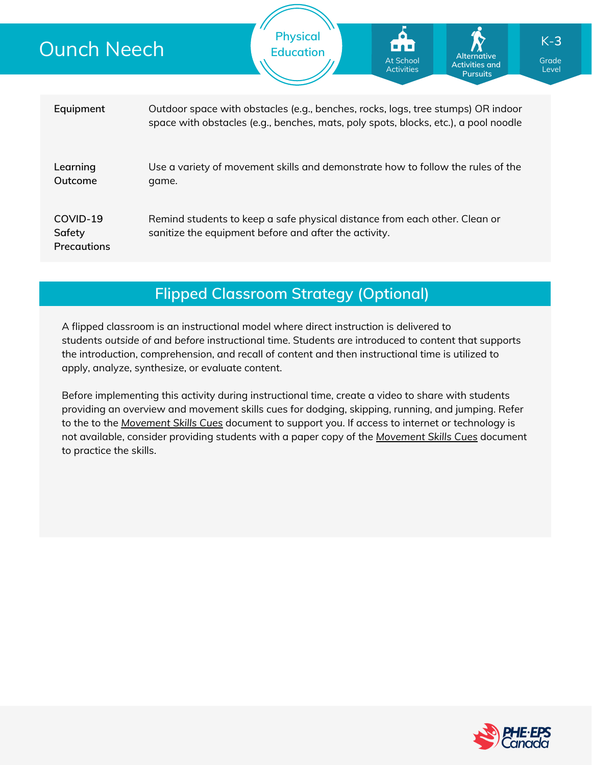| <b>Ounch Neech</b>                       |                                                                                                                                                                         | <b>Physical</b><br><b>Education</b> | ional<br>At School<br><b>Activities</b> | Alternative<br><b>Activities and</b><br><b>Pursuits</b> | $K-3$<br>Grade<br>Level |
|------------------------------------------|-------------------------------------------------------------------------------------------------------------------------------------------------------------------------|-------------------------------------|-----------------------------------------|---------------------------------------------------------|-------------------------|
| Equipment                                | Outdoor space with obstacles (e.g., benches, rocks, logs, tree stumps) OR indoor<br>space with obstacles (e.g., benches, mats, poly spots, blocks, etc.), a pool noodle |                                     |                                         |                                                         |                         |
| Learning<br>Outcome                      | Use a variety of movement skills and demonstrate how to follow the rules of the<br>game.                                                                                |                                     |                                         |                                                         |                         |
| COVID-19<br>Safety<br><b>Precautions</b> | Remind students to keep a safe physical distance from each other. Clean or<br>sanitize the equipment before and after the activity.                                     |                                     |                                         |                                                         |                         |
|                                          |                                                                                                                                                                         |                                     |                                         |                                                         |                         |

## **Flipped Classroom Strategy (Optional)**

A flipped classroom is an instructional model where direct instruction is delivered to students *outside of* and *before* instructional time. Students are introduced to content that supports the introduction, comprehension, and recall of content and then instructional time is utilized to apply, analyze, synthesize, or evaluate content.

Before implementing this activity during instructional time, create a video to share with students providing an overview and movement skills cues for dodging, skipping, running, and jumping. Refer to the to the *[Movement](https://phecanada.ca/sites/default/files/content/docs/Home%20Learning%20Resource/Movement%20Cues/Movement%20Skills%20Cues%201.pdf) Skills Cues* document to support you. If access to internet or technology is not available, consider providing students with a paper copy of the *[Movement](https://phecanada.ca/sites/default/files/content/docs/Home%20Learning%20Resource/Movement%20Cues/Movement%20Skills%20Cues%201.pdf) Skills Cues* document to practice the skills.

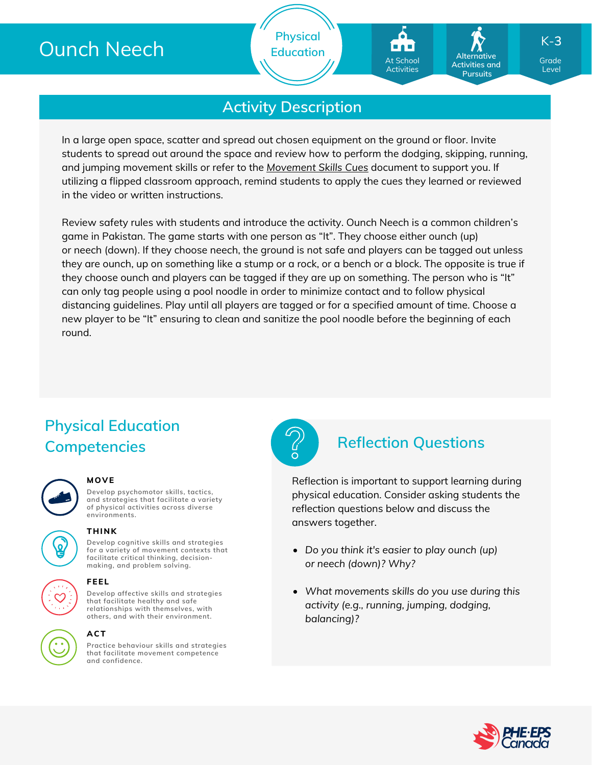# Ounch Neech

**Physical Education**

# At School **Activities**

**Alternative Activities and Pursuits**

Grade K-**3**

Level

## **Activity Description**

In a large open space, scatter and spread out chosen equipment on the ground or floor. Invite students to spread out around the space and review how to perform the dodging, skipping, running, and jumping movement skills or refer to the *[Movement](https://phecanada.ca/sites/default/files/content/docs/Home%20Learning%20Resource/Movement%20Cues/Movement%20Skills%20Cues%201.pdf) Skills Cues* document to support you. If utilizing a flipped classroom approach, remind students to apply the cues they learned or reviewed in the video or written instructions.

Review safety rules with students and introduce the activity. Ounch Neech is a common children's game in Pakistan. The game starts with one person as "It". They choose either ounch (up) or neech (down). If they choose neech, the ground is not safe and players can be tagged out unless they are ounch, up on something like a stump or a rock, or a bench or a block. The opposite is true if they choose ounch and players can be tagged if they are up on something. The person who is "It" can only tag people using a pool noodle in order to minimize contact and to follow physical distancing guidelines. Play until all players are tagged or for a specified amount of time. Choose a new player to be "It" ensuring to clean and sanitize the pool noodle before the beginning of each round.

## **Physical Education Competencies Reflection Questions**

#### **MOVE**

**Develop psychomotor skills, tactics, and strategies that facilitate a variety of physical activities across diverse environments.**

### **THINK**

**Develop cognitive skills and strategies for a variety of movement contexts that facilitate critical thinking, decision making, and problem solving.**



### **ACT**

**Practice behaviour skills and strategies that facilitate movement competence and confidence.**



Reflection is important to support learning during physical education. Consider asking students the reflection questions below and discuss the answers together.

- *Do you think it's easier to play ounch (up) or neech (down)? Why?*
- *What movements skills do you use during this activity (e.g., running, jumping, dodging, balancing)?*